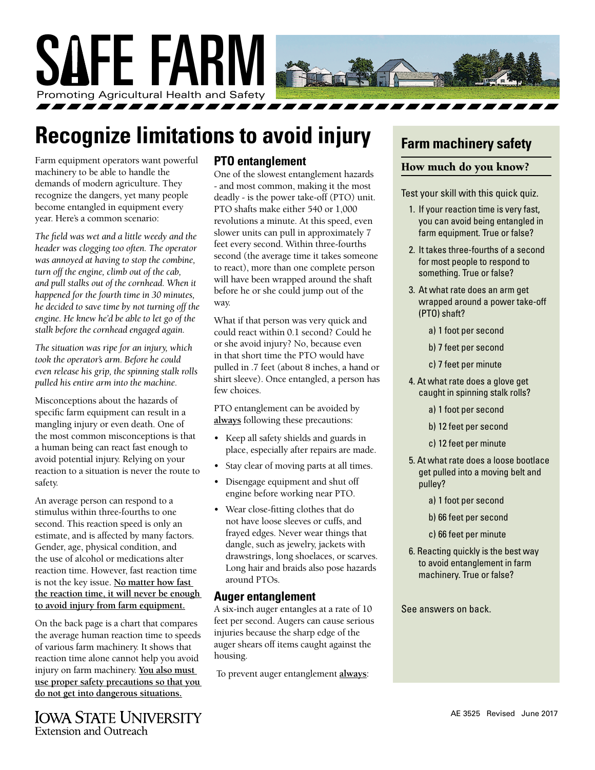

## **Recognize limitations to avoid injury**

Farm equipment operators want powerful machinery to be able to handle the demands of modern agriculture. They recognize the dangers, yet many people become entangled in equipment every year. Here's a common scenario:

*The field was wet and a little weedy and the header was clogging too often. The operator was annoyed at having to stop the combine, turn off the engine, climb out of the cab, and pull stalks out of the cornhead. When it happened for the fourth time in 30 minutes, he decided to save time by not turning off the engine. He knew he'd be able to let go of the stalk before the cornhead engaged again.*

*The situation was ripe for an injury, which took the operator's arm. Before he could even release his grip, the spinning stalk rolls pulled his entire arm into the machine.*

Misconceptions about the hazards of specific farm equipment can result in a mangling injury or even death. One of the most common misconceptions is that a human being can react fast enough to avoid potential injury. Relying on your reaction to a situation is never the route to safety.

An average person can respond to a stimulus within three-fourths to one second. This reaction speed is only an estimate, and is affected by many factors. Gender, age, physical condition, and the use of alcohol or medications alter reaction time. However, fast reaction time is not the key issue. **No matter how fast the reaction time, it will never be enough to avoid injury from farm equipment.**

On the back page is a chart that compares the average human reaction time to speeds of various farm machinery. It shows that reaction time alone cannot help you avoid injury on farm machinery. **You also must use proper safety precautions so that you do not get into dangerous situations.**

**IOWA STATE UNIVERSITY** Extension and Outreach

#### **PTO entanglement**

One of the slowest entanglement hazards - and most common, making it the most deadly - is the power take-off (PTO) unit. PTO shafts make either 540 or 1,000 revolutions a minute. At this speed, even slower units can pull in approximately 7 feet every second. Within three-fourths second (the average time it takes someone to react), more than one complete person will have been wrapped around the shaft before he or she could jump out of the way.

What if that person was very quick and could react within 0.1 second? Could he or she avoid injury? No, because even in that short time the PTO would have pulled in .7 feet (about 8 inches, a hand or shirt sleeve). Once entangled, a person has few choices.

PTO entanglement can be avoided by **always** following these precautions:

- Keep all safety shields and guards in place, especially after repairs are made.
- Stay clear of moving parts at all times.
- Disengage equipment and shut off engine before working near PTO.
- Wear close-fitting clothes that do not have loose sleeves or cuffs, and frayed edges. Never wear things that dangle, such as jewelry, jackets with drawstrings, long shoelaces, or scarves. Long hair and braids also pose hazards around PTOs.

#### **Auger entanglement**

A six-inch auger entangles at a rate of 10 feet per second. Augers can cause serious injuries because the sharp edge of the auger shears off items caught against the housing.

To prevent auger entanglement **always**:

## **Farm machinery safety**

#### How much do you know?

Test your skill with this quick quiz.

- 1. If your reaction time is very fast, you can avoid being entangled in farm equipment. True or false?
- 2. It takes three-fourths of a second for most people to respond to something. True or false?
- 3. At what rate does an arm get wrapped around a power take-off (PTO) shaft?
	- a) 1 foot per second
	- b) 7 feet per second
	- c) 7 feet per minute
- 4. At what rate does a glove get caught in spinning stalk rolls?
	- a) 1 foot per second
	- b) 12 feet per second
	- c) 12 feet per minute
- 5. At what rate does a loose bootlace get pulled into a moving belt and pulley?
	- a) 1 foot per second
	- b) 66 feet per second
	- c) 66 feet per minute
- 6. Reacting quickly is the best way to avoid entanglement in farm machinery. True or false?

See answers on back.